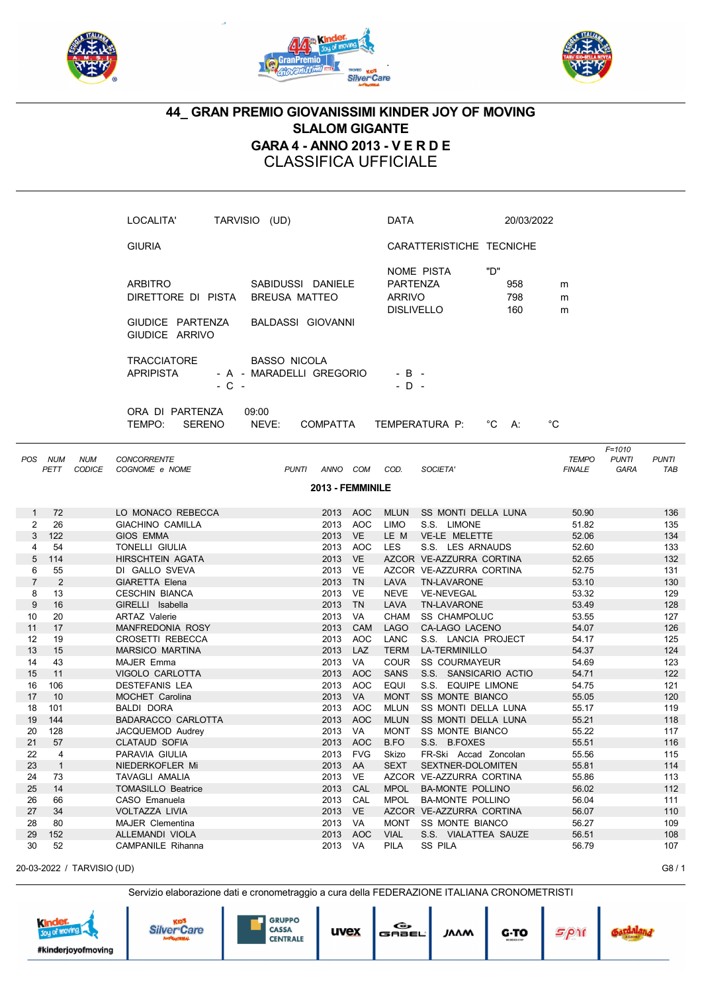





## 44\_ GRAN PREMIO GIOVANISSIMI KINDER JOY OF MOVING SLALOM GIGANTE GARA 4 - ANNO 2013 - V E R D E CLASSIFICA UFFICIALE

|                |                    |                             | TARVISIO (UD)<br>LOCALITA'                                          |                                                         |                   | <b>DATA</b>                                    | 20/03/2022                                          |                               |                                    |                     |
|----------------|--------------------|-----------------------------|---------------------------------------------------------------------|---------------------------------------------------------|-------------------|------------------------------------------------|-----------------------------------------------------|-------------------------------|------------------------------------|---------------------|
|                |                    |                             | <b>GIURIA</b>                                                       |                                                         |                   |                                                | CARATTERISTICHE TECNICHE                            |                               |                                    |                     |
|                |                    |                             |                                                                     |                                                         |                   |                                                |                                                     |                               |                                    |                     |
|                |                    |                             | ARBITRO<br>DIRETTORE DI PISTA<br>GIUDICE PARTENZA<br>GIUDICE ARRIVO | SABIDUSSI DANIELE<br>BREUSA MATTEO<br>BALDASSI GIOVANNI |                   | PARTENZA<br><b>ARRIVO</b><br><b>DISLIVELLO</b> | "D"<br>NOME PISTA<br>958<br>798<br>160              | m<br>m<br>m                   |                                    |                     |
|                |                    |                             | <b>TRACCIATORE</b><br><b>APRIPISTA</b><br>$-C -$                    | <b>BASSO NICOLA</b><br>- A - MARADELLI GREGORIO         |                   | - B -<br>- D -                                 |                                                     |                               |                                    |                     |
|                |                    |                             | ORA DI PARTENZA                                                     | 09:00                                                   |                   |                                                |                                                     |                               |                                    |                     |
|                |                    |                             | TEMPO:<br><b>SERENO</b>                                             | NEVE:<br><b>COMPATTA</b>                                |                   |                                                | TEMPERATURA P:<br>$^{\circ}$ C A:                   | $^{\circ}C$                   |                                    |                     |
| <b>POS</b>     | <b>NUM</b><br>PETT | <b>NUM</b><br><b>CODICE</b> | <b>CONCORRENTE</b><br>COGNOME e NOME                                | <b>PUNTI</b><br>ANNO COM                                |                   | COD.                                           | SOCIETA'                                            | <b>TEMPO</b><br><b>FINALE</b> | $F = 1010$<br><b>PUNTI</b><br>GARA | <b>PUNTI</b><br>TAB |
|                |                    |                             |                                                                     | 2013 - FEMMINILE                                        |                   |                                                |                                                     |                               |                                    |                     |
| 1              | 72                 |                             | LO MONACO REBECCA                                                   | 2013 AOC                                                |                   | <b>MLUN</b>                                    | SS MONTI DELLA LUNA                                 | 50.90                         |                                    | 136                 |
| 2              | 26                 |                             | <b>GIACHINO CAMILLA</b>                                             | 2013 AOC                                                |                   | LIMO                                           | S.S. LIMONE                                         | 51.82                         |                                    | 135                 |
| 3              | 122                |                             | <b>GIOS EMMA</b>                                                    | 2013 VE                                                 |                   | LE M                                           | VE-LE MELETTE                                       | 52.06                         |                                    | 134                 |
| 4              | 54                 |                             | TONELLI GIULIA                                                      | 2013 AOC                                                |                   | <b>LES</b>                                     | S.S. LES ARNAUDS                                    | 52.60                         |                                    | 133                 |
| 5              | 114                |                             | <b>HIRSCHTEIN AGATA</b>                                             | 2013 VE                                                 |                   |                                                | AZCOR VE-AZZURRA CORTINA                            | 52.65                         |                                    | 132                 |
| 6              | 55                 |                             | DI GALLO SVEVA                                                      | 2013 VE                                                 |                   |                                                | AZCOR VE-AZZURRA CORTINA                            | 52.75                         |                                    | 131                 |
| $\overline{7}$ | 2                  |                             | <b>GIARETTA Elena</b>                                               | 2013 TN                                                 |                   | LAVA                                           | TN-LAVARONE                                         | 53.10                         |                                    | 130                 |
| 8              | 13                 |                             | <b>CESCHIN BIANCA</b>                                               | 2013                                                    | <b>VE</b>         | <b>NEVE</b>                                    | VE-NEVEGAL                                          | 53.32                         |                                    | 129                 |
| 9              | 16                 |                             | GIRELLI Isabella                                                    | 2013 TN                                                 |                   | LAVA                                           | TN-LAVARONE                                         | 53.49                         |                                    | 128                 |
| 10             | 20                 |                             | <b>ARTAZ Valerie</b>                                                | 2013 VA                                                 |                   |                                                | CHAM SS CHAMPOLUC                                   | 53.55                         |                                    | 127                 |
| 11             | 17                 |                             | <b>MANFREDONIA ROSY</b>                                             | 2013                                                    | <b>CAM</b>        | LAGO                                           | CA-LAGO LACENO                                      | 54.07                         |                                    | 126                 |
| 12<br>13       | 19<br>15           |                             | CROSETTI REBECCA<br><b>MARSICO MARTINA</b>                          | 2013<br>2013                                            | <b>AOC</b><br>LAZ | LANC<br><b>TERM</b>                            | S.S. LANCIA PROJECT<br><b>LA-TERMINILLO</b>         | 54.17<br>54.37                |                                    | 125<br>124          |
| 14             | 43                 |                             | MAJER Emma                                                          | 2013                                                    | VA.               |                                                | COUR SS COURMAYEUR                                  | 54.69                         |                                    | 123                 |
| 15             | 11                 |                             | VIGOLO CARLOTTA                                                     | 2013                                                    | <b>AOC</b>        | SANS                                           | S.S. SANSICARIO ACTIO                               | 54.71                         |                                    | 122                 |
| 16             | 106                |                             | <b>DESTEFANIS LEA</b>                                               | 2013                                                    | AOC               | EQUI                                           | S.S. EQUIPE LIMONE                                  | 54.75                         |                                    | 121                 |
| 17             | 10                 |                             | MOCHET Carolina                                                     | 2013                                                    | VA                |                                                | MONT SS MONTE BIANCO                                | 55.05                         |                                    | 120                 |
| 18             | 101                |                             | BALDI DORA                                                          | 2013                                                    | AOC               | MLUN                                           | SS MONTI DELLA LUNA                                 | 55.17                         |                                    | 119                 |
| 19             | 144                |                             | <b>BADARACCO CARLOTTA</b>                                           | 2013 AOC                                                |                   |                                                | MLUN SS MONTI DELLA LUNA                            | 55.21                         |                                    | 118                 |
| 20             | 128                |                             | JACQUEMOD Audrey                                                    | 2013 VA                                                 |                   |                                                | MONT SS MONTE BIANCO                                | 55.22                         |                                    | 117                 |
| 21             | 57                 |                             | CLATAUD SOFIA                                                       | 2013 AOC                                                |                   | B.FO                                           | S.S. B.FOXES                                        | 55.51                         |                                    | 116                 |
| 22             | 4                  |                             | PARAVIA GIULIA                                                      | 2013                                                    | <b>FVG</b>        | Skizo                                          | FR-Ski Accad Zoncolan                               | 55.56                         |                                    | 115                 |
| 23             | $\mathbf{1}$       |                             | NIEDERKOFLER Mi                                                     | 2013                                                    | AA                | <b>SEXT</b>                                    | SEXTNER-DOLOMITEN                                   | 55.81                         |                                    | 114                 |
| 24             | 73                 |                             | TAVAGLI AMALIA                                                      | 2013                                                    | VE                |                                                | AZCOR VE-AZZURRA CORTINA                            | 55.86                         |                                    | 113                 |
| 25             | 14                 |                             | <b>TOMASILLO Beatrice</b>                                           | 2013                                                    | CAL               | <b>MPOL</b>                                    | <b>BA-MONTE POLLINO</b>                             | 56.02                         |                                    | 112                 |
| 26<br>27       | 66<br>34           |                             | CASO Emanuela<br>VOLTAZZA LIVIA                                     | 2013<br>2013                                            | CAL<br>VE         | MPOL                                           | <b>BA-MONTE POLLINO</b><br>AZCOR VE-AZZURRA CORTINA | 56.04<br>56.07                |                                    | 111<br>110          |
| 28             | 80                 |                             | <b>MAJER Clementina</b>                                             | 2013                                                    | VA                | <b>MONT</b>                                    | SS MONTE BIANCO                                     | 56.27                         |                                    | 109                 |
| 29             | 152                |                             | ALLEMANDI VIOLA                                                     | 2013                                                    | AOC               | <b>VIAL</b>                                    | S.S. VIALATTEA SAUZE                                | 56.51                         |                                    | 108                 |
| 30             | 52                 |                             | CAMPANILE Rihanna                                                   | 2013 VA                                                 |                   | PILA                                           | SS PILA                                             | 56.79                         |                                    | 107                 |
|                |                    |                             |                                                                     |                                                         |                   |                                                |                                                     |                               |                                    |                     |

20-03-2022 / TARVISIO (UD) G8 / 1

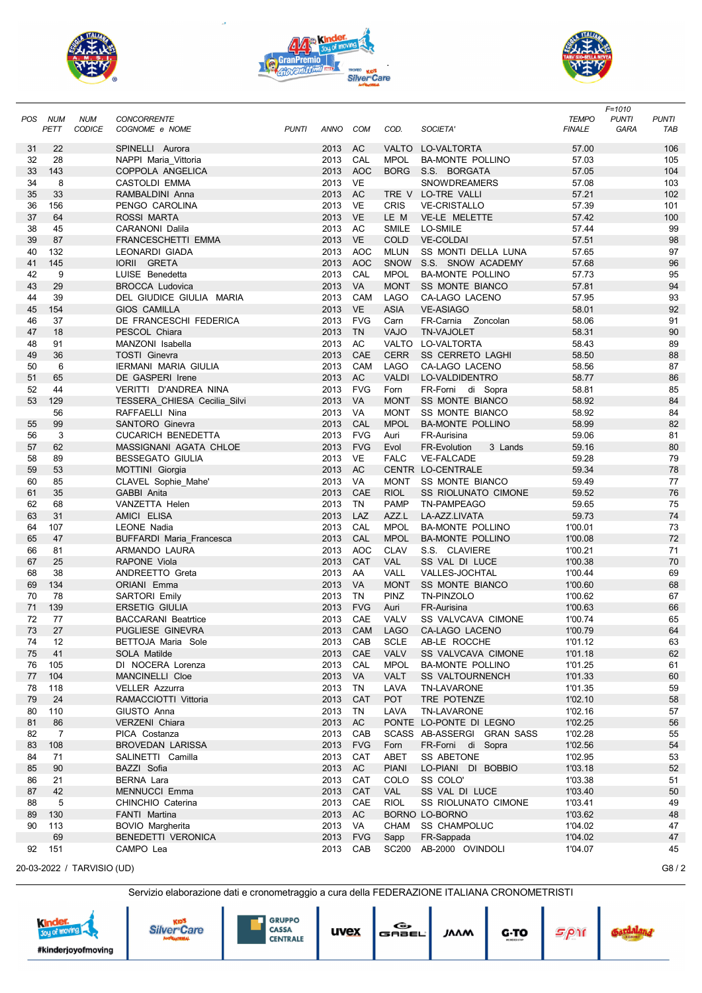





|     |                |               |                                 |              |             |            |                            |                            |               | $F = 1010$                   |
|-----|----------------|---------------|---------------------------------|--------------|-------------|------------|----------------------------|----------------------------|---------------|------------------------------|
| POS | NUM            | <b>NUM</b>    | <b>CONCORRENTE</b>              |              |             |            |                            |                            | <b>TEMPO</b>  | <b>PUNTI</b><br><b>PUNTI</b> |
|     | PETT           | <b>CODICE</b> | COGNOME e NOME                  | <b>PUNTI</b> | <b>ANNO</b> | <b>COM</b> | COD.                       | SOCIETA'                   | <b>FINALE</b> | <b>GARA</b><br>TAB           |
| 31  | 22             |               | SPINELLI Aurora                 |              | 2013        | AC         |                            | VALTO LO-VALTORTA          | 57.00         | 106                          |
| 32  | 28             |               | NAPPI Maria Vittoria            |              | 2013        | CAL        | <b>MPOL</b>                | <b>BA-MONTE POLLINO</b>    | 57.03         | 105                          |
| 33  | 143            |               | COPPOLA ANGELICA                |              | 2013        | <b>AOC</b> |                            | BORG S.S. BORGATA          | 57.05         | 104                          |
| 34  | 8              |               | CASTOLDI EMMA                   |              | 2013        | VE         |                            | <b>SNOWDREAMERS</b>        | 57.08         | 103                          |
|     |                |               |                                 |              |             | <b>AC</b>  |                            |                            |               |                              |
| 35  | 33             |               | RAMBALDINI Anna                 |              | 2013        |            |                            | TRE V LO-TRE VALLI         | 57.21         | 102                          |
| 36  | 156            |               | PENGO CAROLINA                  |              | 2013        | <b>VE</b>  | <b>CRIS</b>                | <b>VE-CRISTALLO</b>        | 57.39         | 101                          |
| 37  | 64             |               | ROSSI MARTA                     |              | 2013        | <b>VE</b>  | LE M                       | VE-LE MELETTE              | 57.42         | 100                          |
| 38  | 45             |               | <b>CARANONI Dalila</b>          |              | 2013        | AC         | <b>SMILE</b>               | LO-SMILE                   | 57.44         | 99                           |
| 39  | 87             |               | <b>FRANCESCHETTI EMMA</b>       |              | 2013        | <b>VE</b>  | <b>COLD</b>                | <b>VE-COLDAI</b>           | 57.51         | 98                           |
| 40  | 132            |               | LEONARDI GIADA                  |              | 2013        | <b>AOC</b> | MLUN                       | SS MONTI DELLA LUNA        | 57.65         | 97                           |
| 41  | 145            |               | IORII GRETA                     |              | 2013        | <b>AOC</b> |                            | SNOW S.S. SNOW ACADEMY     | 57.68         | 96                           |
| 42  | 9              |               | LUISE Benedetta                 |              | 2013        | CAL        | <b>MPOL</b>                | <b>BA-MONTE POLLINO</b>    | 57.73         | 95                           |
| 43  | 29             |               | <b>BROCCA Ludovica</b>          |              | 2013        | <b>VA</b>  | <b>MONT</b>                | SS MONTE BIANCO            | 57.81         | 94                           |
| 44  | 39             |               | DEL GIUDICE GIULIA MARIA        |              | 2013        | CAM        | <b>LAGO</b>                | CA-LAGO LACENO             | 57.95         | 93                           |
| 45  | 154            |               | <b>GIOS CAMILLA</b>             |              | 2013        | <b>VE</b>  | <b>ASIA</b>                | <b>VE-ASIAGO</b>           | 58.01         | 92                           |
| 46  | 37             |               | DE FRANCESCHI FEDERICA          |              | 2013        | <b>FVG</b> | Carn                       | FR-Carnia Zoncolan         | 58.06         | 91                           |
| 47  | 18             |               | PESCOL Chiara                   |              | 2013        | <b>TN</b>  | VAJO                       | <b>TN-VAJOLET</b>          | 58.31         | 90                           |
| 48  | 91             |               | MANZONI Isabella                |              | 2013        | AC         |                            | VALTO LO-VALTORTA          | 58.43         | 89                           |
| 49  | 36             |               | <b>TOSTI Ginevra</b>            |              | 2013        | CAE        | <b>CERR</b>                | <b>SS CERRETO LAGHI</b>    | 58.50         | 88                           |
| 50  | 6              |               | IERMANI MARIA GIULIA            |              | 2013        | CAM        | <b>LAGO</b>                | CA-LAGO LACENO             | 58.56         | 87                           |
| 51  | 65             |               | DE GASPERI Irene                |              | 2013        | AC         | <b>VALDI</b>               | LO-VALDIDENTRO             | 58.77         | 86                           |
| 52  | 44             |               | VERITTI D'ANDREA NINA           |              | 2013        | <b>FVG</b> | Forn                       | FR-Forni di Sopra          | 58.81         | 85                           |
| 53  | 129            |               | TESSERA CHIESA Cecilia Silvi    |              | 2013        | VA         | <b>MONT</b>                | <b>SS MONTE BIANCO</b>     | 58.92         | 84                           |
|     | 56             |               | RAFFAELLI Nina                  |              | 2013        | <b>VA</b>  | <b>MONT</b>                | <b>SS MONTE BIANCO</b>     | 58.92         | 84                           |
| 55  | 99             |               | SANTORO Ginevra                 |              | 2013        | CAL        | <b>MPOL</b>                | <b>BA-MONTE POLLINO</b>    | 58.99         | 82                           |
| 56  | 3              |               | <b>CUCARICH BENEDETTA</b>       |              | 2013        | <b>FVG</b> | Auri                       | FR-Aurisina                | 59.06         | 81                           |
| 57  | 62             |               | MASSIGNANI AGATA CHLOE          |              | 2013        | <b>FVG</b> | Evol                       | FR-Evolution<br>3 Lands    | 59.16         | 80                           |
| 58  | 89             |               | <b>BESSEGATO GIULIA</b>         |              | 2013        | <b>VE</b>  | <b>FALC</b>                | <b>VE-FALCADE</b>          | 59.28         | 79                           |
| 59  | 53             |               | MOTTINI Giorgia                 |              | 2013        | <b>AC</b>  |                            | CENTR LO-CENTRALE          | 59.34         | 78                           |
| 60  | 85             |               | CLAVEL Sophie Mahe'             |              | 2013        | VA         | <b>MONT</b>                | <b>SS MONTE BIANCO</b>     | 59.49         | 77                           |
| 61  | 35             |               | GABBI Anita                     |              | 2013        | CAE        | <b>RIOL</b>                | <b>SS RIOLUNATO CIMONE</b> | 59.52         | 76                           |
| 62  | 68             |               | VANZETTA Helen                  |              | 2013        | <b>TN</b>  | <b>PAMP</b>                | TN-PAMPEAGO                | 59.65         | 75                           |
| 63  | 31             |               | AMICI ELISA                     |              | 2013        | <b>LAZ</b> | AZZ.L                      | LA-AZZ.LIVATA              | 59.73         | 74                           |
| 64  | 107            |               | LEONE Nadia                     |              | 2013        | CAL        | <b>MPOL</b>                | <b>BA-MONTE POLLINO</b>    | 1'00.01       | 73                           |
| 65  | 47             |               | <b>BUFFARDI Maria Francesca</b> |              | 2013        | CAL        | <b>MPOL</b>                | <b>BA-MONTE POLLINO</b>    | 1'00.08       | 72                           |
| 66  | 81             |               | ARMANDO LAURA                   |              | 2013        | <b>AOC</b> | <b>CLAV</b>                | S.S. CLAVIERE              | 1'00.21       | 71                           |
| 67  | 25             |               | RAPONE Viola                    |              | 2013        | <b>CAT</b> | <b>VAL</b>                 | SS VAL DI LUCE             | 1'00.38       | 70                           |
| 68  | 38             |               | ANDREETTO Greta                 |              | 2013        | AA         | VALL                       | VALLES-JOCHTAL             | 1'00.44       | 69                           |
| 69  | 134            |               | ORIANI Emma                     |              | 2013        | <b>VA</b>  | <b>MONT</b>                | <b>SS MONTE BIANCO</b>     | 1'00.60       | 68                           |
| 70  | 78             |               | <b>SARTORI Emily</b>            |              | 2013        | TN         | <b>PINZ</b>                | TN-PINZOLO                 | 1'00.62       | 67                           |
| 71  | 139            |               | <b>ERSETIG GIULIA</b>           |              | 2013        | <b>FVG</b> | Auri                       | FR-Aurisina                | 1'00.63       | 66                           |
| 72  | 77             |               | <b>BACCARANI Beatrtice</b>      |              | 2013        | CAE        | <b>VALV</b>                | <b>SS VALVCAVA CIMONE</b>  | 1'00.74       | 65                           |
| 73  | 27             |               | PUGLIESE GINEVRA                |              | 2013        | CAM        | <b>LAGO</b>                | CA-LAGO LACENO             | 1'00.79       | 64                           |
| 74  | 12             |               | BETTOJA Maria Sole              |              | 2013 CAB    |            | <b>SCLE</b>                | AB-LE ROCCHE               | 1'01.12       | 63                           |
| 75  | 41             |               | SOLA Matilde                    |              | 2013        | CAE        | <b>VALV</b>                | SS VALVCAVA CIMONE         | 1'01.18       | 62                           |
|     |                |               |                                 |              | 2013        | CAL        |                            |                            |               |                              |
| 76  | 105<br>104     |               | DI NOCERA Lorenza               |              | 2013        | VA         | <b>MPOL</b><br><b>VALT</b> | <b>BA-MONTE POLLINO</b>    | 1'01.25       | 61<br>60                     |
| 77  |                |               | MANCINELLI Cloe                 |              |             |            |                            | <b>SS VALTOURNENCH</b>     | 1'01.33       |                              |
| 78  | 118            |               | <b>VELLER Azzurra</b>           |              | 2013        | TN         | LAVA                       | TN-LAVARONE                | 1'01.35       | 59                           |
| 79  | 24             |               | RAMACCIOTTI Vittoria            |              | 2013        | CAT        | <b>POT</b>                 | TRE POTENZE                | 1'02.10       | 58                           |
| 80  | 110            |               | GIUSTO Anna                     |              | 2013        | TN         | LAVA                       | TN-LAVARONE                | 1'02.16       | 57                           |
| 81  | 86             |               | <b>VERZENI Chiara</b>           |              | 2013        | <b>AC</b>  |                            | PONTE LO-PONTE DI LEGNO    | 1'02.25       | 56                           |
| 82  | $\overline{7}$ |               | PICA Costanza                   |              | 2013        | CAB        |                            | SCASS AB-ASSERGI GRAN SASS | 1'02.28       | 55                           |
| 83  | 108            |               | <b>BROVEDAN LARISSA</b>         |              | 2013        | <b>FVG</b> | Forn                       | FR-Forni di Sopra          | 1'02.56       | 54                           |
| 84  | 71             |               | SALINETTI Camilla               |              | 2013        | CAT        | <b>ABET</b>                | <b>SS ABETONE</b>          | 1'02.95       | 53                           |
| 85  | 90             |               | BAZZI Sofia                     |              | 2013 AC     |            | <b>PIANI</b>               | LO-PIANI DI BOBBIO         | 1'03.18       | 52                           |
| 86  | 21             |               | <b>BERNA Lara</b>               |              | 2013        | CAT        | <b>COLO</b>                | SS COLO'                   | 1'03.38       | 51                           |
| 87  | 42             |               | MENNUCCI Emma                   |              | 2013        | CAT        | <b>VAL</b>                 | SS VAL DI LUCE             | 1'03.40       | 50                           |
| 88  | 5              |               | CHINCHIO Caterina               |              | 2013        | CAE        | <b>RIOL</b>                | SS RIOLUNATO CIMONE        | 1'03.41       | 49                           |
| 89  | 130            |               | FANTI Martina                   |              | 2013 AC     |            |                            | BORNO LO-BORNO             | 1'03.62       | 48                           |
| 90  | 113            |               | BOVIO Margherita                |              | 2013        | VA         | <b>CHAM</b>                | <b>SS CHAMPOLUC</b>        | 1'04.02       | 47                           |
|     | 69             |               | BENEDETTI VERONICA              |              | 2013        | <b>FVG</b> | Sapp                       | FR-Sappada                 | 1'04.02       | 47                           |
| 92  | 151            |               | CAMPO Lea                       |              | 2013        | CAB        |                            | SC200 AB-2000 OVINDOLI     | 1'04.07       | 45                           |
|     |                |               |                                 |              |             |            |                            |                            |               |                              |

| Servizio elaborazione dati e cronometraggio a cura della FEDERAZIONE ITALIANA CRONOMETRISTI |  |
|---------------------------------------------------------------------------------------------|--|
|---------------------------------------------------------------------------------------------|--|





| э,<br>uvex<br>GABEL |
|---------------------|
|---------------------|

 $J_{\Lambda\Lambda\Lambda\Lambda}$ 

| <u>URUNUMETRISTI</u> |      |  |
|----------------------|------|--|
| G-TO                 | ۱۲ م |  |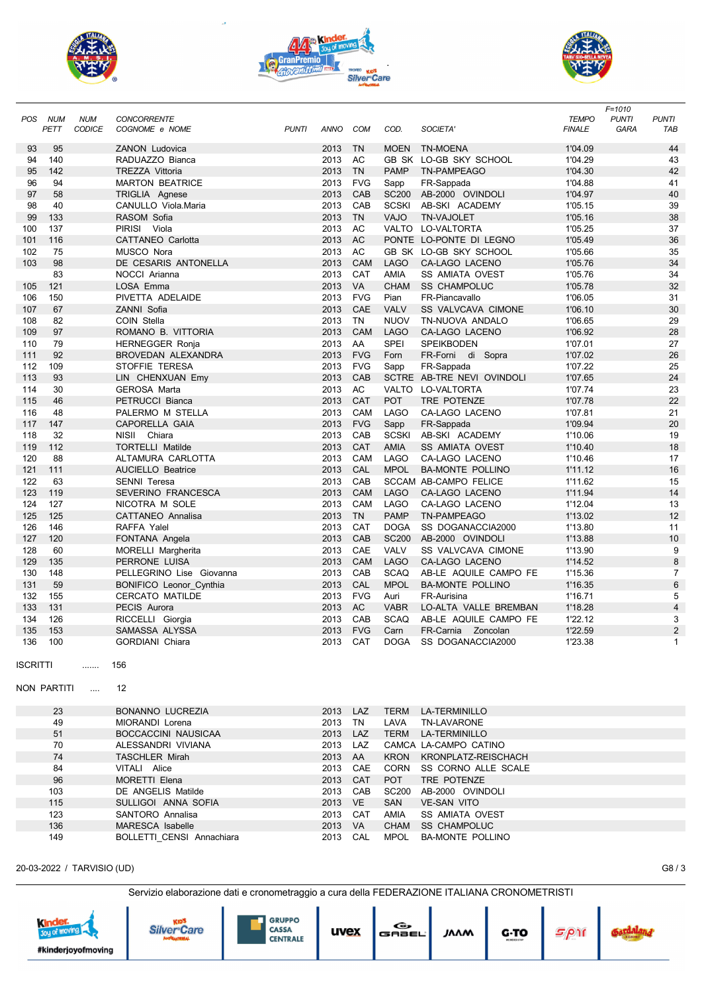





|                 |             |               |                                |              |          |            |              |                              |               | $F = 1010$   |              |
|-----------------|-------------|---------------|--------------------------------|--------------|----------|------------|--------------|------------------------------|---------------|--------------|--------------|
| <b>POS</b>      | <b>NUM</b>  | <b>NUM</b>    | <b>CONCORRENTE</b>             |              |          |            |              |                              | <b>TEMPO</b>  | <b>PUNTI</b> | <b>PUNTI</b> |
|                 | PETT        | <b>CODICE</b> | COGNOME e NOME                 | <b>PUNTI</b> | ANNO     | <b>COM</b> | COD.         | SOCIETA'                     | <b>FINALE</b> | GARA         | TAB          |
|                 |             |               |                                |              |          |            |              |                              |               |              |              |
| 93              | 95          |               | ZANON Ludovica                 |              | 2013     | TN         | <b>MOEN</b>  | TN-MOENA                     | 1'04.09       |              | 44           |
| 94              | 140         |               | RADUAZZO Bianca                |              | 2013     | <b>AC</b>  |              | GB SK LO-GB SKY SCHOOL       | 1'04.29       |              | 43           |
| 95              | 142         |               | TREZZA Vittoria                |              | 2013     | <b>TN</b>  | <b>PAMP</b>  | <b>TN-PAMPEAGO</b>           | 1'04.30       |              | 42           |
| 96              | 94          |               | <b>MARTON BEATRICE</b>         |              | 2013     | <b>FVG</b> | Sapp         | FR-Sappada                   | 1'04.88       |              | 41           |
| 97              | 58          |               | TRIGLIA Agnese                 |              | 2013     | CAB        |              | SC200 AB-2000 OVINDOLI       | 1'04.97       |              | 40           |
| 98              | 40          |               | CANULLO Viola.Maria            |              | 2013     | CAB        |              | SCSKI AB-SKI ACADEMY         | 1'05.15       |              | 39           |
| 99              | 133         |               | RASOM Sofia                    |              | 2013     | <b>TN</b>  | VAJO         | <b>TN-VAJOLET</b>            | 1'05.16       |              | 38           |
| 100             | 137         |               | PIRISI Viola                   |              | 2013     | <b>AC</b>  |              | VALTO LO-VALTORTA            | 1'05.25       |              | 37           |
| 101             | 116         |               | <b>CATTANEO Carlotta</b>       |              | 2013     | <b>AC</b>  |              | PONTE LO-PONTE DI LEGNO      | 1'05.49       |              | 36           |
| 102             | 75          |               | MUSCO Nora                     |              | 2013     | AC         |              | GB SK LO-GB SKY SCHOOL       | 1'05.66       |              | 35           |
| 103             | 98          |               | DE CESARIS ANTONELLA           |              | 2013     | <b>CAM</b> | <b>LAGO</b>  | CA-LAGO LACENO               | 1'05.76       |              | 34           |
|                 | 83          |               | NOCCI Arianna                  |              | 2013     | <b>CAT</b> | <b>AMIA</b>  | <b>SS AMIATA OVEST</b>       | 1'05.76       |              | 34           |
|                 |             |               |                                |              |          | <b>VA</b>  | <b>CHAM</b>  |                              |               |              |              |
| 105             | 121         |               | LOSA Emma                      |              | 2013     |            |              | <b>SS CHAMPOLUC</b>          | 1'05.78       |              | 32           |
| 106             | 150         |               | PIVETTA ADELAIDE               |              | 2013     | <b>FVG</b> | Pian         | FR-Piancavallo               | 1'06.05       |              | 31           |
| 107             | 67          |               | ZANNI Sofia                    |              | 2013     | CAE        | <b>VALV</b>  | <b>SS VALVCAVA CIMONE</b>    | 1'06.10       |              | 30           |
| 108             | 82          |               | COIN Stella                    |              | 2013     | <b>TN</b>  | <b>NUOV</b>  | TN-NUOVA ANDALO              | 1'06.65       |              | 29           |
| 109             | 97          |               | ROMANO B. VITTORIA             |              | 2013     | <b>CAM</b> | <b>LAGO</b>  | CA-LAGO LACENO               | 1'06.92       |              | 28           |
| 110             | 79          |               | <b>HERNEGGER Ronja</b>         |              | 2013     | AA         | SPEI         | <b>SPEIKBODEN</b>            | 1'07.01       |              | 27           |
| 111             | 92          |               | BROVEDAN ALEXANDRA             |              | 2013     | <b>FVG</b> | Forn         | FR-Forni di Sopra            | 1'07.02       |              | 26           |
| 112             | 109         |               | STOFFIE TERESA                 |              | 2013     | <b>FVG</b> | Sapp         | FR-Sappada                   | 1'07.22       |              | 25           |
| 113             | 93          |               | LIN CHENXUAN Emy               |              | 2013     | CAB        |              | SCTRE AB-TRE NEVI OVINDOLI   | 1'07.65       |              | 24           |
| 114             | 30          |               | <b>GEROSA Marta</b>            |              | 2013     | AC         |              | VALTO LO-VALTORTA            | 1'07.74       |              | 23           |
| 115             | 46          |               | PETRUCCI Bianca                |              | 2013     | <b>CAT</b> | <b>POT</b>   | TRE POTENZE                  | 1'07.78       |              | 22           |
| 116             | 48          |               | PALERMO M STELLA               |              | 2013     | <b>CAM</b> | <b>LAGO</b>  | CA-LAGO LACENO               | 1'07.81       |              | 21           |
| 117             | 147         |               | CAPORELLA GAIA                 |              | 2013     | <b>FVG</b> | Sapp         | FR-Sappada                   | 1'09.94       |              | 20           |
| 118             | 32          |               | NISII Chiara                   |              | 2013     | CAB        | <b>SCSKI</b> | AB-SKI ACADEMY               | 1'10.06       |              | 19           |
| 119             | 112         |               | <b>TORTELLI Matilde</b>        |              | 2013     | CAT        | <b>AMIA</b>  | <b>SS AMIATA OVEST</b>       | 1'10.40       |              | 18           |
| 120             | 88          |               | ALTAMURA CARLOTTA              |              | 2013     | CAM        | <b>LAGO</b>  | CA-LAGO LACENO               | 1'10.46       |              | 17           |
| 121             | 111         |               | <b>AUCIELLO Beatrice</b>       |              | 2013     | CAL        | <b>MPOL</b>  | <b>BA-MONTE POLLINO</b>      | 1'11.12       |              | 16           |
| 122             | 63          |               | <b>SENNI Teresa</b>            |              | 2013     | CAB        |              | <b>SCCAM AB-CAMPO FELICE</b> | 1'11.62       |              | 15           |
| 123             | 119         |               | SEVERINO FRANCESCA             |              | 2013     | CAM        | <b>LAGO</b>  | CA-LAGO LACENO               | 1'11.94       |              | 14           |
| 124             | 127         |               | NICOTRA M SOLE                 |              | 2013     | <b>CAM</b> | <b>LAGO</b>  | CA-LAGO LACENO               | 1'12.04       |              | 13           |
| 125             | 125         |               | <b>CATTANEO Annalisa</b>       |              | 2013     | <b>TN</b>  | <b>PAMP</b>  | <b>TN-PAMPEAGO</b>           |               |              | 12           |
| 126             | 146         |               |                                |              | 2013     | <b>CAT</b> | <b>DOGA</b>  |                              | 1'13.02       |              |              |
|                 |             |               | RAFFA Yalel                    |              |          | CAB        |              | SS DOGANACCIA2000            | 1'13.80       |              | 11           |
| 127             | 120         |               | FONTANA Angela                 |              | 2013     |            | <b>SC200</b> | AB-2000 OVINDOLI             | 1'13.88       |              | 10           |
| 128             | 60          |               | MORELLI Margherita             |              | 2013     | CAE        | <b>VALV</b>  | SS VALVCAVA CIMONE           | 1'13.90       |              | 9            |
| 129             | 135         |               | PERRONE LUISA                  |              | 2013     | <b>CAM</b> | <b>LAGO</b>  | CA-LAGO LACENO               | 1'14.52       |              | 8            |
| 130             | 148         |               | PELLEGRINO Lise Giovanna       |              | 2013     | CAB        | <b>SCAQ</b>  | AB-LE AQUILE CAMPO FE        | 1'15.36       |              | 7            |
| 131             | 59          |               | <b>BONIFICO Leonor Cynthia</b> |              | 2013     | CAL        | <b>MPOL</b>  | <b>BA-MONTE POLLINO</b>      | 1'16.35       |              | $\,6\,$      |
| 132             | 155         |               | <b>CERCATO MATILDE</b>         |              | 2013     | <b>FVG</b> | Auri         | FR-Aurisina                  | 1'16.71       |              | 5            |
| 133             | 131         |               | <b>PECIS Aurora</b>            |              | 2013     | AC         | <b>VABR</b>  | LO-ALTA VALLE BREMBAN        | 1'18.28       |              | 4            |
| 134             | 126         |               | RICCELLI Giorgia               |              | 2013     | CAB        | <b>SCAQ</b>  | AB-LE AQUILE CAMPO FE        | 1'22.12       |              | 3            |
|                 | 135 153     |               | SAMASSA ALYSSA                 |              | 2013 FVG |            | Carn         | FR-Carnia Zoncolan           | 1'22.59       |              | $2^{\circ}$  |
|                 | 136 100     |               | <b>GORDIANI Chiara</b>         |              |          | 2013 CAT   |              | DOGA SS DOGANACCIA2000       | 1'23.38       |              | $\mathbf{1}$ |
|                 |             |               |                                |              |          |            |              |                              |               |              |              |
| <b>ISCRITTI</b> |             | .             | 156                            |              |          |            |              |                              |               |              |              |
|                 |             |               |                                |              |          |            |              |                              |               |              |              |
|                 | NON PARTITI | $\ddotsc$     | 12                             |              |          |            |              |                              |               |              |              |
|                 |             |               |                                |              |          |            |              |                              |               |              |              |
|                 | 23          |               | BONANNO LUCREZIA               |              | 2013 LAZ |            | TERM         | <b>LA-TERMINILLO</b>         |               |              |              |
|                 | 49          |               | MIORANDI Lorena                |              | 2013 TN  |            | LAVA         | TN-LAVARONE                  |               |              |              |
|                 | 51          |               | BOCCACCINI NAUSICAA            |              | 2013 LAZ |            | <b>TERM</b>  | LA-TERMINILLO                |               |              |              |
|                 | 70          |               | ALESSANDRI VIVIANA             |              | 2013 LAZ |            |              | CAMCA LA-CAMPO CATINO        |               |              |              |
|                 | 74          |               | <b>TASCHLER Mirah</b>          |              | 2013 AA  |            | KRON         | KRONPLATZ-REISCHACH          |               |              |              |
|                 | 84          |               | VITALI Alice                   |              | 2013 CAE |            |              | CORN SS CORNO ALLE SCALE     |               |              |              |
|                 | 96          |               | MORETTI Elena                  |              | 2013 CAT |            | POT          | TRE POTENZE                  |               |              |              |
|                 | 103         |               | DE ANGELIS Matilde             |              | 2013 CAB |            |              | SC200 AB-2000 OVINDOLI       |               |              |              |
|                 | 115         |               | SULLIGOI ANNA SOFIA            |              | 2013 VE  |            | SAN          | VE-SAN VITO                  |               |              |              |
|                 | 123         |               | SANTORO Annalisa               |              | 2013 CAT |            | AMIA         | <b>SS AMIATA OVEST</b>       |               |              |              |
|                 | 136         |               | MARESCA Isabelle               |              | 2013 VA  |            |              | CHAM SS CHAMPOLUC            |               |              |              |
|                 |             |               |                                |              |          |            |              |                              |               |              |              |
|                 | 149         |               | BOLLETTI CENSI Annachiara      |              | 2013 CAL |            | <b>MPOL</b>  | <b>BA-MONTE POLLINO</b>      |               |              |              |

Servizio elaborazione dati e cronometraggio a cura della FEDERAZIONE ITALIANA CRONOMETRISTI**GRUPPO GREE**L **Silver Care** CASSA  $5\rho$ uvex Gardale of moving **JAAM** G-TO **CENTRALE** #kinderjoyofmoving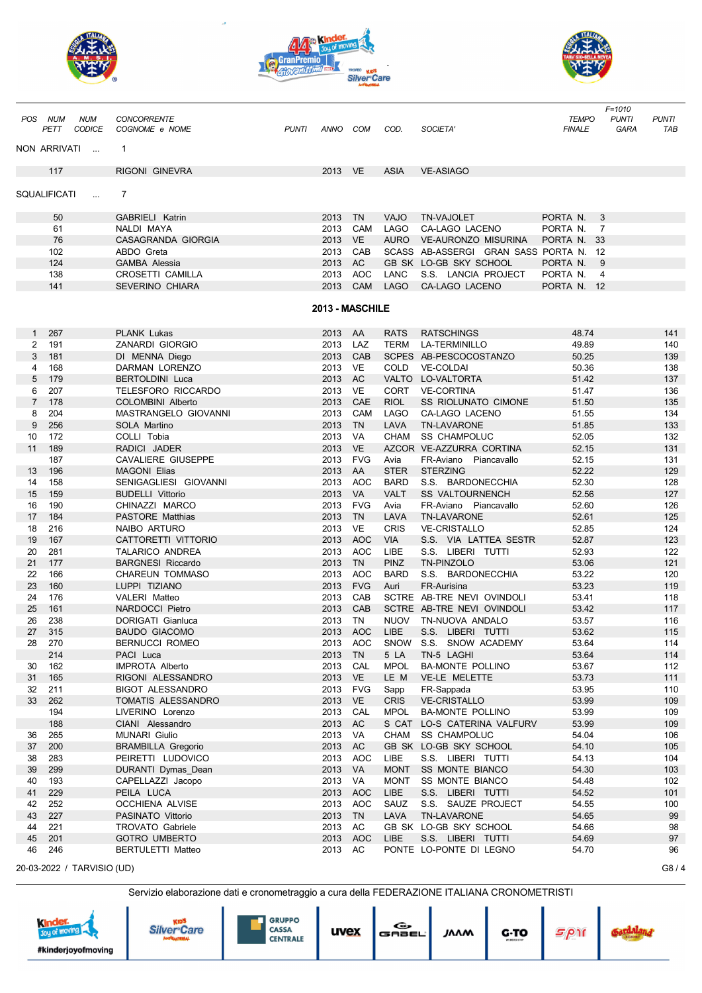



POS NUM NUM CONCORRENTE



F=1010

PETT CODICE COGNOME e NOME PUNTI ANNO COM COD. SOCIETA' FINALE GARA TAB NON ARRIVATI ... 117 RIGONI GINEVRA 2013 VE ASIA VE-ASIAGO SOLIALIFICATI 7 50 GABRIELI Katrin 2013 TN VAJO TN-VAJOLET PORTA N. 3 61 NALDI MAYA 2013 CAM LAGO CA-LAGO LACENO PORTA N. 7 76 CASAGRANDA GIORGIA 2013 VE AURO VE-AURONZO MISURINA PORTA N. 33 102 ABDO Greta 2013 CAB SCASS AB-ASSERGI GRAN SASS PORTA N.<br>124 GAMBA Alessia 2013 AC GR SK LO-GR SKY SCHOOL PORTA N. 124 GB SK LO-GB SKY SCHOOL PORTA N. 9 138 CROSETTI CAMILLA 2013 AOC LANC S.S. LANCIA PROJECT PORTA N. 4 141 SEVERINO CHIARA 2013 CAM LAGO CA-LAGO LACENO PORTA N. 12 2013 - MASCHILE 1 267 PLANK Lukas 2013 AA RATS RATSCHINGS 48.74 141 2 191 ZANARDI GIORGIO 2013 LAZ TERM LA-TERMINILLO 49.89 140 3 181 DI MENNA Diego 2013 CAB SCPES AB-PESCOCOSTANZO 50.25 139 4 168 DARMAN LORENZO 2013 VE COLD VE-COLDAI 50.36 138 5 179 BERTOLDINI Luca 2013 AC VALTO LO-VALTORTA 51.42 137 6 207 TELESFORO RICCARDO 2013 VE CORT VE-CORTINA 51.47 136 7 178 COLOMBINI Alberto 2013 CAE RIOL SS RIOLUNATO CIMONE 51.50 135 8 204 MASTRANGELO GIOVANNI 2013 CAM LAGO CA-LAGO LACENO 51.55 134 9 256 SOLA Martino 2013 TN LAVA TN-LAVARONE 51.85 133 10 172 COLLI Tobia 2013 VA CHAM SS CHAMPOLUC 52.05 132 11 189 RADICI JADER 2013 VE AZCOR VE-AZZURRA CORTINA 52.15 131 187 CAVALIERE GIUSEPPE 2013 FVG Avia FR-Aviano Piancavallo 52.15 131 13 196 MAGONI Elias 2013 AA STER STERZING 52.22 129 14 158 SENIGAGLIESI GIOVANNI 2013 AOC BARD S.S. BARDONECCHIA 52.30 128 **SS VALTOURNENCH** 16 190 CHINAZZI MARCO 2013 FVG Avia FR-Aviano Piancavallo 52.60 126 PASTORE Matthias 18 216 NAIBO ARTURO 2013 VE CRIS VE-CRISTALLO 52.85 124 19 167 CATTORETTI VITTORIO 2013 AOC VIA S.S. VIA LATTEA SESTR 52.87 123 20 281 TALARICO ANDREA 2013 AOC LIBE S.S. LIBERI TUTTI 52.93 122 21 177 BARGNESI Riccardo 2013 TN PINZ TN-PINZOLO 53.06 121 22 166 CHAREUN TOMMASO 2013 AOC BARD S.S. BARDONECCHIA 53.22 120 23 160 LUPPI TIZIANO 2013 FVG Auri FR-Aurisina 53.23 119 24 176 VALERI Matteo 2013 CAB SCTRE AB-TRE NEVI OVINDOLI 53.41 118 25 161 NARDOCCI Pietro 2013 CAB SCTRE AB-TRE NEVI OVINDOLI 53.42 117 26 238 DORIGATI Gianluca 2013 TN NUOV TN-NUOVA ANDALO 53.57 116 27 315 BAUDO GIACOMO 2013 AOC LIBE S.S. LIBERI TUTTI 53.62 115 28 270 BERNUCCI ROMEO 2013 AOC SNOW S.S. SNOW ACADEMY 53.64 114 214 PACI Luca 2013 TN 5 LA TN-5 LAGHI 53.64 114 30 162 IMPROTA Alberto 2013 CAL MPOL BA-MONTE POLLINO 53.67 112 31 165 RIGONI ALESSANDRO 2013 VE LE M VE-LE MELETTE 53.73 111 211 BIGOT ALESSANDRO 2013 FVG Sapp FR-Sappada 53.95 53.95 110 33 262 TOMATIS ALESSANDRO 2013 VE CRIS VE-CRISTALLO 53.99 109 194 LIVERINO Lorenzo 2013 CAL MPOL BA-MONTE POLLINO 53.99 109 188 CIANI Alessandro 109 2013 AC S CAT LO-S CATERINA VALFURV 53.99 109 36 265 MUNARI Giulio 2013 VA CHAM SS CHAMPOLUC 54.04 106 37 200 BRAMBILLA Gregorio 2013 AC GB SK LO-GB SKY SCHOOL 54.10 54.10 105 38 283 PEIRETTI LUDOVICO 2013 AOC LIBE S.S. LIBERI TUTTI 54.13 104 39 299 DURANTI Dymas\_Dean 2013 VA MONT SS MONTE BIANCO 54.30 103 40 193 CAPELLAZZI Jacopo 2013 VA MONT SS MONTE BIANCO 54.48 102 41 229 PEILA LUCA 2013 AOC LIBE S.S. LIBERI TUTTI 54.52 101 42 252 OCCHIENA ALVISE 2013 AOC SAUZ S.S. SAUZE PROJECT 54.55 100 43 227 PASINATO Vittorio 2013 TN LAVA TN-LAVARONE 54.65 99 44 221 TROVATO Gabriele 2013 AC GB SK LO-GB SKY SCHOOL 54.66 98 45 201 GOTRO UMBERTO 2013 AOC LIBE S.S. LIBERI TUTTI 54.69 97 46 246 BERTULETTI Matteo 2013 AC PONTE LO-PONTE DI LEGNO 54.70 96

20-03-2022 / TARVISIO (UD) G8 / 4

| Servizio elaborazione dati e cronometraggio a cura della FEDERAZIONE ITALIANA CRONOMETRISTI |
|---------------------------------------------------------------------------------------------|
|                                                                                             |









**JAAM** 

| RONOMETRISTI |                        |  |
|--------------|------------------------|--|
| G.TO         | <b>D</b> <sub>10</sub> |  |

and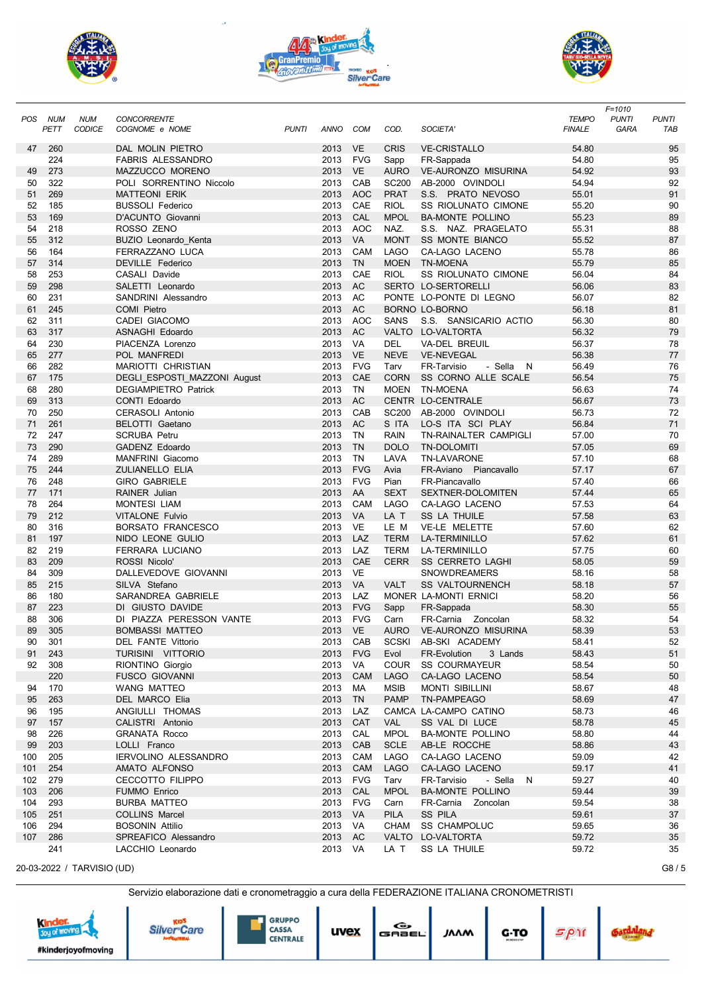





|            |      |               |                                     |              |             |            |              |                              |               | $F = 1010$   |              |
|------------|------|---------------|-------------------------------------|--------------|-------------|------------|--------------|------------------------------|---------------|--------------|--------------|
| <b>POS</b> | NUM  | <b>NUM</b>    | <b>CONCORRENTE</b>                  |              |             |            |              |                              | <b>TEMPO</b>  | <b>PUNTI</b> | <b>PUNTI</b> |
|            | PETT | <b>CODICE</b> | COGNOME e NOME                      | <b>PUNTI</b> | <b>ANNO</b> | <b>COM</b> | COD.         | SOCIETA'                     | <b>FINALE</b> | GARA         | TAB          |
|            |      |               | DAL MOLIN PIETRO                    |              |             |            |              |                              |               |              |              |
| 47         | 260  |               |                                     |              | 2013        | <b>VE</b>  | <b>CRIS</b>  | <b>VE-CRISTALLO</b>          | 54.80         |              | 95           |
|            | 224  |               | <b>FABRIS ALESSANDRO</b>            |              | 2013        | <b>FVG</b> | Sapp         | FR-Sappada                   | 54.80         |              | 95           |
| 49         | 273  |               | MAZZUCCO MORENO                     |              | 2013        | <b>VE</b>  | <b>AURO</b>  | <b>VE-AURONZO MISURINA</b>   | 54.92         |              | 93           |
| 50         | 322  |               | POLI SORRENTINO Niccolo             |              | 2013        | CAB        | <b>SC200</b> | AB-2000 OVINDOLI             | 54.94         |              | 92           |
| 51         | 269  |               | <b>MATTEONI ERIK</b>                |              | 2013        | <b>AOC</b> | <b>PRAT</b>  | S.S. PRATO NEVOSO            | 55.01         |              | 91           |
| 52         | 185  |               | <b>BUSSOLI Federico</b>             |              | 2013        | CAE        | <b>RIOL</b>  | <b>SS RIOLUNATO CIMONE</b>   | 55.20         |              | 90           |
| 53         | 169  |               | D'ACUNTO Giovanni                   |              | 2013        | CAL        | <b>MPOL</b>  | <b>BA-MONTE POLLINO</b>      | 55.23         |              | 89           |
| 54         | 218  |               | ROSSO ZENO                          |              | 2013        | <b>AOC</b> | NAZ.         | S.S. NAZ. PRAGELATO          | 55.31         |              | 88           |
| 55         | 312  |               | BUZIO Leonardo_Kenta                |              | 2013        | <b>VA</b>  | <b>MONT</b>  | <b>SS MONTE BIANCO</b>       | 55.52         |              | 87           |
| 56         | 164  |               | FERRAZZANO LUCA                     |              | 2013        | CAM        | <b>LAGO</b>  | CA-LAGO LACENO               | 55.78         |              | 86           |
| 57         | 314  |               | <b>DEVILLE</b> Federico             |              | 2013        | <b>TN</b>  | <b>MOEN</b>  | <b>TN-MOENA</b>              | 55.79         |              | 85           |
| 58         | 253  |               | CASALI Davide                       |              | 2013        | CAE        | <b>RIOL</b>  | <b>SS RIOLUNATO CIMONE</b>   | 56.04         |              | 84           |
| 59         | 298  |               | SALETTI Leonardo                    |              | 2013        | <b>AC</b>  |              | SERTO LO-SERTORELLI          | 56.06         |              | 83           |
| 60         | 231  |               | SANDRINI Alessandro                 |              | 2013        | AC         |              | PONTE LO-PONTE DI LEGNO      | 56.07         |              | 82           |
| 61         | 245  |               | <b>COMI Pietro</b>                  |              | 2013        | AC         |              | BORNO LO-BORNO               | 56.18         |              | 81           |
| 62         | 311  |               | CADEI GIACOMO                       |              | 2013        | <b>AOC</b> | SANS         | S.S. SANSICARIO ACTIO        | 56.30         |              | 80           |
|            |      |               |                                     |              |             |            |              |                              |               |              | 79           |
| 63         | 317  |               | ASNAGHI Edoardo                     |              | 2013        | AC         |              | VALTO LO-VALTORTA            | 56.32         |              |              |
| 64         | 230  |               | PIACENZA Lorenzo                    |              | 2013        | VA         | <b>DEL</b>   | <b>VA-DEL BREUIL</b>         | 56.37         |              | 78           |
| 65         | 277  |               | POL MANFREDI                        |              | 2013        | <b>VE</b>  | <b>NEVE</b>  | <b>VE-NEVEGAL</b>            | 56.38         |              | 77           |
| 66         | 282  |               | MARIOTTI CHRISTIAN                  |              | 2013        | <b>FVG</b> | Tarv         | FR-Tarvisio<br>- Sella<br>-N | 56.49         |              | 76           |
| 67         | 175  |               | <b>DEGLI ESPOSTI MAZZONI August</b> |              | 2013        | CAE        | <b>CORN</b>  | SS CORNO ALLE SCALE          | 56.54         |              | 75           |
| 68         | 280  |               | <b>DEGIAMPIETRO Patrick</b>         |              | 2013        | <b>TN</b>  | MOEN         | TN-MOENA                     | 56.63         |              | 74           |
| 69         | 313  |               | CONTI Edoardo                       |              | 2013        | <b>AC</b>  |              | CENTR LO-CENTRALE            | 56.67         |              | 73           |
| 70         | 250  |               | <b>CERASOLI Antonio</b>             |              | 2013        | CAB        | <b>SC200</b> | AB-2000 OVINDOLI             | 56.73         |              | 72           |
| 71         | 261  |               | BELOTTI Gaetano                     |              | 2013        | <b>AC</b>  | S ITA        | LO-S ITA SCI PLAY            | 56.84         |              | 71           |
| 72         | 247  |               | <b>SCRUBA Petru</b>                 |              | 2013        | TN         | <b>RAIN</b>  | <b>TN-RAINALTER CAMPIGLI</b> | 57.00         |              | 70           |
| 73         | 290  |               | GADENZ Edoardo                      |              | 2013        | <b>TN</b>  | <b>DOLO</b>  | TN-DOLOMITI                  | 57.05         |              | 69           |
| 74         | 289  |               | MANFRINI Giacomo                    |              | 2013        | <b>TN</b>  | LAVA         | <b>TN-LAVARONE</b>           | 57.10         |              | 68           |
| 75         | 244  |               | <b>ZULIANELLO ELIA</b>              |              | 2013        | <b>FVG</b> | Avia         | FR-Aviano<br>Piancavallo     | 57.17         |              | 67           |
| 76         | 248  |               | <b>GIRO GABRIELE</b>                |              | 2013        | <b>FVG</b> | Pian         | FR-Piancavallo               | 57.40         |              | 66           |
| 77         | 171  |               | RAINER Julian                       |              | 2013        | AA         | <b>SEXT</b>  | SEXTNER-DOLOMITEN            | 57.44         |              | 65           |
|            |      |               |                                     |              |             | CAM        |              |                              |               |              |              |
| 78         | 264  |               | <b>MONTESI LIAM</b>                 |              | 2013        |            | <b>LAGO</b>  | CA-LAGO LACENO               | 57.53         |              | 64           |
| 79         | 212  |               | <b>VITALONE Fulvio</b>              |              | 2013        | <b>VA</b>  | LA T         | <b>SS LA THUILE</b>          | 57.58         |              | 63           |
| 80         | 316  |               | <b>BORSATO FRANCESCO</b>            |              | 2013        | <b>VE</b>  | LE M         | VE-LE MELETTE                | 57.60         |              | 62           |
| 81         | 197  |               | NIDO LEONE GULIO                    |              | 2013        | LAZ        | <b>TERM</b>  | <b>LA-TERMINILLO</b>         | 57.62         |              | 61           |
| 82         | 219  |               | FERRARA LUCIANO                     |              | 2013        | LAZ        | <b>TERM</b>  | <b>LA-TERMINILLO</b>         | 57.75         |              | 60           |
| 83         | 209  |               | ROSSI Nicolo'                       |              | 2013        | CAE        | <b>CERR</b>  | <b>SS CERRETO LAGHI</b>      | 58.05         |              | 59           |
| 84         | 309  |               | DALLEVEDOVE GIOVANNI                |              | 2013        | <b>VE</b>  |              | <b>SNOWDREAMERS</b>          | 58.16         |              | 58           |
| 85         | 215  |               | SILVA Stefano                       |              | 2013        | <b>VA</b>  | VALT         | <b>SS VALTOURNENCH</b>       | 58.18         |              | 57           |
| 86         | 180  |               | SARANDREA GABRIELE                  |              | 2013        | LAZ        |              | MONER LA-MONTI ERNICI        | 58.20         |              | 56           |
| 87         | 223  |               | DI GIUSTO DAVIDE                    |              | 2013        | <b>FVG</b> | Sapp         | FR-Sappada                   | 58.30         |              | 55           |
| 88         | 306  |               | DI PIAZZA PERESSON VANTE            |              | 2013        | <b>FVG</b> | Carn         | FR-Carnia Zoncolan           | 58.32         |              | 54           |
| 89         | 305  |               | <b>BOMBASSI MATTEO</b>              |              | 2013 VE     |            |              | AURO VE-AURONZO MISURINA     | 58.39         |              | 53           |
| 90         | 301  |               | <b>DEL FANTE Vittorio</b>           |              | 2013 CAB    |            |              | SCSKI AB-SKI ACADEMY         | 58.41         |              | 52           |
| 91         | 243  |               | TURISINI VITTORIO                   |              | 2013        | <b>FVG</b> | Evol         | FR-Evolution<br>3 Lands      | 58.43         |              | 51           |
| 92         | 308  |               | RIONTINO Giorgio                    |              | 2013        | VA         | COUR         | <b>SS COURMAYEUR</b>         | 58.54         |              | 50           |
|            | 220  |               | <b>FUSCO GIOVANNI</b>               |              | 2013        | CAM        | <b>LAGO</b>  | CA-LAGO LACENO               | 58.54         |              | 50           |
| 94         | 170  |               | WANG MATTEO                         |              | 2013        | MA         | MSIB         | <b>MONTI SIBILLINI</b>       | 58.67         |              | 48           |
| 95         | 263  |               | DEL MARCO Elia                      |              | 2013        | TN         | <b>PAMP</b>  | TN-PAMPEAGO                  | 58.69         |              | 47           |
|            |      |               |                                     |              |             |            |              |                              |               |              |              |
| 96         | 195  |               | ANGIULLI THOMAS                     |              | 2013 LAZ    |            |              | CAMCA LA-CAMPO CATINO        | 58.73         |              | 46           |
| 97         | 157  |               | CALISTRI Antonio                    |              | 2013 CAT    |            | VAL          | SS VAL DI LUCE               | 58.78         |              | 45           |
| 98         | 226  |               | <b>GRANATA Rocco</b>                |              | 2013        | CAL        | <b>MPOL</b>  | <b>BA-MONTE POLLINO</b>      | 58.80         |              | 44           |
| 99         | 203  |               | LOLLI Franco                        |              | 2013        | CAB        | <b>SCLE</b>  | AB-LE ROCCHE                 | 58.86         |              | 43           |
| 100        | 205  |               | <b>IERVOLINO ALESSANDRO</b>         |              | 2013        | CAM        | LAGO         | CA-LAGO LACENO               | 59.09         |              | 42           |
| 101        | 254  |               | AMATO ALFONSO                       |              | 2013        | CAM        | <b>LAGO</b>  | CA-LAGO LACENO               | 59.17         |              | 41           |
| 102        | 279  |               | <b>CECCOTTO FILIPPO</b>             |              | 2013        | <b>FVG</b> | Tarv         | FR-Tarvisio<br>- Sella<br>N  | 59.27         |              | 40           |
| 103        | 206  |               | FUMMO Enrico                        |              | 2013        | CAL        | <b>MPOL</b>  | <b>BA-MONTE POLLINO</b>      | 59.44         |              | 39           |
| 104        | 293  |               | <b>BURBA MATTEO</b>                 |              | 2013 FVG    |            | Carn         | FR-Carnia Zoncolan           | 59.54         |              | 38           |
| 105        | 251  |               | <b>COLLINS Marcel</b>               |              | 2013 VA     |            | <b>PILA</b>  | SS PILA                      | 59.61         |              | 37           |
| 106        | 294  |               | <b>BOSONIN Attilio</b>              |              | 2013 VA     |            | <b>CHAM</b>  | <b>SS CHAMPOLUC</b>          | 59.65         |              | 36           |
| 107        | 286  |               | SPREAFICO Alessandro                |              | 2013 AC     |            |              | VALTO LO-VALTORTA            | 59.72         |              | 35           |
|            | 241  |               | LACCHIO Leonardo                    |              | 2013 VA     |            | LA T         | SS LA THUILE                 | 59.72         |              | 35           |
|            |      |               |                                     |              |             |            |              |                              |               |              |              |

Servizio elaborazione dati e cronometraggio a cura della FEDERAZIONE ITALIANA CRONOMETRISTIGRUPPO<br>CASSA<br>CENTRALE Silver<sup>care</sup> ි<br>GRBEL Spin Gardaland uvex  $G-TO$ of moving **JAAM** #kinderjoyofmoving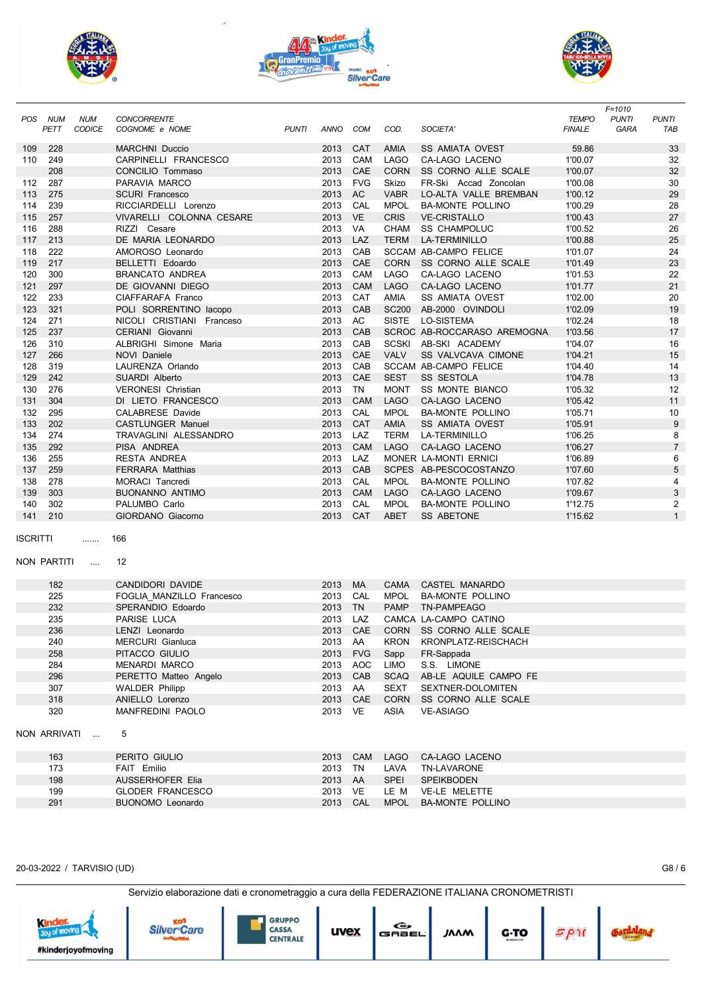





|          |              |               |                                                   |              |          |            |              |                                         |                    | $F = 1010$   |                |
|----------|--------------|---------------|---------------------------------------------------|--------------|----------|------------|--------------|-----------------------------------------|--------------------|--------------|----------------|
| POS      | NUM          | <b>NUM</b>    | <b>CONCORRENTE</b>                                |              |          |            |              |                                         | <b>TEMPO</b>       | <b>PUNTI</b> | <b>PUNTI</b>   |
|          | PETT         | <b>CODICE</b> | COGNOME e NOME                                    | <b>PUNTI</b> | ANNO     | COM        | COD.         | SOCIETA'                                | <b>FINALE</b>      | GARA         | TAB            |
|          |              |               |                                                   |              |          |            |              |                                         |                    |              |                |
| 109      | 228          |               | <b>MARCHNI</b> Duccio                             |              | 2013     | CAT        | <b>AMIA</b>  | <b>SS AMIATA OVEST</b>                  | 59.86              |              | 33             |
| 110      | 249          |               | CARPINELLI FRANCESCO                              |              | 2013     | CAM        | <b>LAGO</b>  | CA-LAGO LACENO                          | 1'00.07            |              | 32             |
|          | 208          |               | CONCILIO Tommaso                                  |              | 2013     | CAE        | <b>CORN</b>  | SS CORNO ALLE SCALE                     | 1'00.07            |              | 32             |
| 112      | 287          |               | PARAVIA MARCO                                     |              | 2013     | <b>FVG</b> | Skizo        | FR-Ski Accad Zoncolan                   | 1'00.08            |              | 30             |
| 113      | 275          |               | <b>SCURI Francesco</b>                            |              | 2013     | AC         | <b>VABR</b>  | LO-ALTA VALLE BREMBAN                   | 1'00.12            |              | 29             |
| 114      | 239          |               | RICCIARDELLI Lorenzo                              |              | 2013     | CAL        | <b>MPOL</b>  | <b>BA-MONTE POLLINO</b>                 | 1'00.29            |              | 28             |
| 115      | 257          |               | VIVARELLI COLONNA CESARE                          |              | 2013     | VE         | <b>CRIS</b>  | <b>VE-CRISTALLO</b>                     | 1'00.43            |              | 27             |
| 116      | 288          |               | RIZZI Cesare                                      |              | 2013     | VA         | <b>CHAM</b>  | <b>SS CHAMPOLUC</b>                     | 1'00.52            |              | 26             |
| 117      | 213          |               | DE MARIA LEONARDO                                 |              | 2013     | LAZ        | <b>TERM</b>  | LA-TERMINILLO                           | 1'00.88            |              | 25             |
| 118      | 222          |               | AMOROSO Leonardo                                  |              | 2013     | CAB        |              | <b>SCCAM AB-CAMPO FELICE</b>            | 1'01.07            |              | 24             |
| 119      | 217          |               | BELLETTI Edoardo                                  |              | 2013     | CAE        | <b>CORN</b>  | SS CORNO ALLE SCALE                     | 1'01.49            |              | 23             |
| 120      | 300          |               | BRANCATO ANDREA                                   |              | 2013     | CAM        | <b>LAGO</b>  | CA-LAGO LACENO                          | 1'01.53            |              | 22             |
| 121      | 297          |               | DE GIOVANNI DIEGO                                 |              | 2013     | CAM        | <b>LAGO</b>  | CA-LAGO LACENO                          | 1'01.77            |              | 21             |
| 122      | 233          |               | CIAFFARAFA Franco                                 |              | 2013     | CAT        | AMIA         | <b>SS AMIATA OVEST</b>                  | 1'02.00            |              | 20             |
| 123      | 321          |               | POLI SORRENTINO lacopo                            |              | 2013     | CAB        | <b>SC200</b> | AB-2000 OVINDOLI                        | 1'02.09            |              | 19             |
| 124      | 271          |               | NICOLI CRISTIANI Franceso                         |              | 2013     | AC         | <b>SISTE</b> | LO-SISTEMA                              | 1'02.24            |              | 18             |
| 125      | 237          |               | CERIANI Giovanni                                  |              | 2013     | CAB        |              | SCROC AB-ROCCARASO AREMOGNA             | 1'03.56            |              | 17             |
| 126      | 310          |               | ALBRIGHI Simone Maria                             |              | 2013     | CAB        | <b>SCSKI</b> | AB-SKI ACADEMY                          | 1'04.07            |              | 16             |
| 127      | 266          |               | NOVI Daniele                                      |              | 2013     | CAE        | <b>VALV</b>  | <b>SS VALVCAVA CIMONE</b>               | 1'04.21            |              | 15             |
| 128      | 319          |               | LAURENZA Orlando                                  |              | 2013     | CAB        |              | SCCAM AB-CAMPO FELICE                   | 1'04.40            |              | 14             |
| 129      | 242          |               | SUARDI Alberto                                    |              | 2013     | CAE        | <b>SEST</b>  | <b>SS SESTOLA</b>                       | 1'04.78            |              | 13             |
| 130      | 276          |               | <b>VERONESI Christian</b>                         |              | 2013     | TN         | <b>MONT</b>  | <b>SS MONTE BIANCO</b>                  | 1'05.32            |              | 12             |
| 131      | 304          |               | DI LIETO FRANCESCO                                |              | 2013     | CAM        | <b>LAGO</b>  | CA-LAGO LACENO                          | 1'05.42            |              | 11             |
| 132      | 295          |               |                                                   |              | 2013     | CAL        | <b>MPOL</b>  | <b>BA-MONTE POLLINO</b>                 |                    |              |                |
| 133      | 202          |               | CALABRESE Davide                                  |              | 2013     | CAT        | <b>AMIA</b>  |                                         | 1'05.71            |              | 10<br>9        |
| 134      | 274          |               | <b>CASTLUNGER Manuel</b><br>TRAVAGLINI ALESSANDRO |              | 2013     | LAZ        | <b>TERM</b>  | SS AMIATA OVEST<br><b>LA-TERMINILLO</b> | 1'05.91<br>1'06.25 |              |                |
|          |              |               |                                                   |              |          |            |              |                                         |                    |              | 8              |
| 135      | 292          |               | PISA ANDREA                                       |              | 2013     | CAM        | <b>LAGO</b>  | CA-LAGO LACENO                          | 1'06.27            |              | $\overline{7}$ |
| 136      | 255          |               | <b>RESTA ANDREA</b>                               |              | 2013     | LAZ        |              | MONER LA-MONTI ERNICI                   | 1'06.89            |              | 6              |
| 137      | 259          |               | <b>FERRARA Matthias</b>                           |              | 2013     | CAB        |              | SCPES AB-PESCOCOSTANZO                  | 1'07.60            |              | 5              |
| 138      | 278          |               | <b>MORACI Tancredi</b>                            |              | 2013     | CAL        | <b>MPOL</b>  | <b>BA-MONTE POLLINO</b>                 | 1'07.82            |              | 4              |
| 139      | 303          |               | <b>BUONANNO ANTIMO</b>                            |              | 2013     | CAM        | <b>LAGO</b>  | CA-LAGO LACENO                          | 1'09.67            |              | 3              |
| 140      | 302          |               | PALUMBO Carlo                                     |              | 2013     | CAL        | <b>MPOL</b>  | <b>BA-MONTE POLLINO</b>                 | 1'12.75            |              | 2              |
| 141      | 210          |               | GIORDANO Giacomo                                  |              | 2013     | <b>CAT</b> | ABET         | <b>SS ABETONE</b>                       | 1'15.62            |              | $\mathbf{1}$   |
|          |              |               |                                                   |              |          |            |              |                                         |                    |              |                |
| ISCRITTI |              | .             | 166                                               |              |          |            |              |                                         |                    |              |                |
|          |              |               |                                                   |              |          |            |              |                                         |                    |              |                |
|          | NON PARTITI  | $\cdots$      | 12                                                |              |          |            |              |                                         |                    |              |                |
|          |              |               |                                                   |              |          |            |              |                                         |                    |              |                |
|          | 182          |               | CANDIDORI DAVIDE                                  |              | 2013     | МA         | <b>CAMA</b>  | CASTEL MANARDO                          |                    |              |                |
|          | 225          |               | FOGLIA MANZILLO Francesco                         |              | 2013     | CAL        | <b>MPOL</b>  | <b>BA-MONTE POLLINO</b>                 |                    |              |                |
|          | 232          |               | SPERANDIO Edoardo                                 |              | 2013     | <b>TN</b>  | <b>PAMP</b>  | <b>TN-PAMPEAGO</b>                      |                    |              |                |
|          | 235          |               | PARISE LUCA                                       |              | 2013     | LAZ        |              | CAMCA LA-CAMPO CATINO                   |                    |              |                |
|          | 236          |               | LENZI Leonardo                                    |              | 2013     | CAE        |              | CORN SS CORNO ALLE SCALE                |                    |              |                |
|          | 240          |               | MERCURI Gianluca                                  |              | 2013 AA  |            | <b>KRON</b>  | KRONPLATZ-REISCHACH                     |                    |              |                |
|          | 258          |               | PITACCO GIULIO                                    |              | 2013     | <b>FVG</b> | Sapp         | FR-Sappada                              |                    |              |                |
|          | 284          |               | <b>MENARDI MARCO</b>                              |              | 2013     | AOC        | LIMO         | S.S. LIMONE                             |                    |              |                |
|          | 296          |               | PERETTO Matteo Angelo                             |              | 2013 CAB |            | <b>SCAQ</b>  | AB-LE AQUILE CAMPO FE                   |                    |              |                |
|          | 307          |               | <b>WALDER Philipp</b>                             |              | 2013     | AA         | <b>SEXT</b>  | SEXTNER-DOLOMITEN                       |                    |              |                |
|          | 318          |               | ANIELLO Lorenzo                                   |              | 2013 CAE |            | CORN         | SS CORNO ALLE SCALE                     |                    |              |                |
|          | 320          |               | MANFREDINI PAOLO                                  |              | 2013 VE  |            | ASIA         | <b>VE-ASIAGO</b>                        |                    |              |                |
|          |              |               |                                                   |              |          |            |              |                                         |                    |              |                |
|          | NON ARRIVATI |               | 5                                                 |              |          |            |              |                                         |                    |              |                |
|          |              |               |                                                   |              |          |            |              |                                         |                    |              |                |
|          | 163          |               | PERITO GIULIO                                     |              | 2013     | CAM        | LAGO         | CA-LAGO LACENO                          |                    |              |                |
|          | 173          |               | FAIT Emilio                                       |              | 2013 TN  |            | LAVA         | TN-LAVARONE                             |                    |              |                |
|          | 198          |               | <b>AUSSERHOFER Elia</b>                           |              | 2013 AA  |            | SPEI         | <b>SPEIKBODEN</b>                       |                    |              |                |
|          | 199          |               | <b>GLODER FRANCESCO</b>                           |              | 2013 VE  |            | LE M         | VE-LE MELETTE                           |                    |              |                |
|          | 291          |               | <b>BUONOMO Leonardo</b>                           |              | 2013 CAL |            | <b>MPOL</b>  | <b>BA-MONTE POLLINO</b>                 |                    |              |                |
|          |              |               |                                                   |              |          |            |              |                                         |                    |              |                |

Servizio elaborazione dati e cronometraggio a cura della FEDERAZIONE ITALIANA CRONOMETRISTIGRUPPO<br>CASSA<br>CENTRALE Silver Care ි<br>GRBEL Spin Gardaland uvex of moving **JAAM** G-TO #kinderjoyofmoving